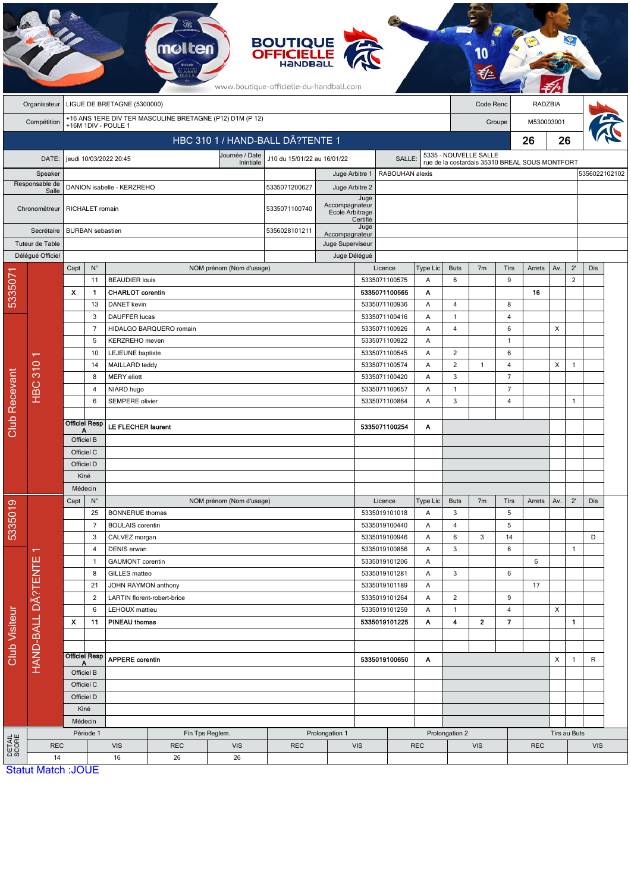|                        |                           |                           |                         |                                               |                             |                                                          | <b>BOUTIQUE</b><br><b>OFFICIELLE</b><br>HaNDBal<br>www.boutique-officielle-du-handball.com |                                    |                  |                                |            |                      |                       |                |                                                |              |                |               |  |
|------------------------|---------------------------|---------------------------|-------------------------|-----------------------------------------------|-----------------------------|----------------------------------------------------------|--------------------------------------------------------------------------------------------|------------------------------------|------------------|--------------------------------|------------|----------------------|-----------------------|----------------|------------------------------------------------|--------------|----------------|---------------|--|
|                        | Organisateur              |                           |                         | LIGUE DE BRETAGNE (5300000)                   |                             |                                                          |                                                                                            |                                    |                  |                                |            |                      | Code Renc             |                | <b>RADZBIA</b>                                 |              |                |               |  |
|                        | Compétition               |                           |                         | +16M 1DIV - POULE 1                           |                             | +16 ANS 1ERE DIV TER MASCULINE BRETAGNE (P12) D1M (P 12) |                                                                                            |                                    |                  |                                |            |                      |                       | Groupe         | M530003001                                     |              |                |               |  |
|                        |                           |                           |                         |                                               |                             | HBC 310 1 / HAND-BALL DÃ?TENTE 1                         |                                                                                            |                                    |                  |                                |            |                      |                       |                | 26                                             | 26           |                |               |  |
|                        |                           |                           |                         |                                               |                             | Journée / Date                                           |                                                                                            |                                    |                  |                                |            |                      | 5335 - NOUVELLE SALLE |                |                                                |              |                |               |  |
|                        | DATE:<br>Speaker          |                           |                         | jeudi 10/03/2022 20:45                        |                             | Inintiale                                                | J10 du 15/01/22 au 16/01/22                                                                |                                    |                  | SALLE:<br>RABOUHAN alexis      |            |                      |                       |                | rue de la costardais 35310 BREAL SOUS MONTFORT |              |                | 5356022102102 |  |
|                        | Responsable de            |                           |                         | DANION isabelle - KERZREHO                    |                             |                                                          | 5335071200627                                                                              | Juge Arbitre 1<br>Juge Arbitre 2   |                  |                                |            |                      |                       |                |                                                |              |                |               |  |
|                        | Salle<br>Chronométreur    |                           | RICHALET romain         |                                               |                             |                                                          | 5335071100740                                                                              | Accompagnateur<br>Ecole Arbitrage  | Juge             |                                |            |                      |                       |                |                                                |              |                |               |  |
|                        | Secrétaire                |                           | <b>BURBAN</b> sebastien |                                               |                             |                                                          | 5356028101211                                                                              |                                    | Certifié<br>Juge |                                |            |                      |                       |                |                                                |              |                |               |  |
|                        | Tuteur de Table           |                           |                         |                                               |                             |                                                          |                                                                                            | Accompagnateur<br>Juge Superviseur |                  |                                |            |                      |                       |                |                                                |              |                |               |  |
|                        | Délégué Officiel          |                           |                         |                                               |                             |                                                          |                                                                                            | Juge Délégué                       |                  |                                |            |                      |                       |                |                                                |              |                |               |  |
|                        |                           | Capt                      | $N^{\circ}$             |                                               |                             | NOM prénom (Nom d'usage)                                 |                                                                                            |                                    |                  | Licence                        | Type Lic   | <b>Buts</b>          | 7 <sub>m</sub>        | Tirs           | Arrets                                         | Av.          | $2^{\prime}$   | Dis           |  |
| 533507                 |                           |                           | 11                      | <b>BEAUDIER louis</b>                         |                             |                                                          |                                                                                            |                                    |                  | 5335071100575                  | Α          | 6                    |                       | 9              | 16                                             |              | $\overline{2}$ |               |  |
|                        |                           | X                         | -1<br>13                | <b>CHARLOT</b> corentin<br><b>DANET</b> kevin |                             |                                                          |                                                                                            |                                    |                  | 5335071100565<br>5335071100936 | Α<br>Α     | 4                    |                       | 8              |                                                |              |                |               |  |
|                        |                           |                           | 3                       | DAUFFER lucas                                 |                             |                                                          |                                                                                            |                                    |                  | 5335071100416                  | Α          | $\mathbf{1}$         |                       | 4              |                                                |              |                |               |  |
|                        |                           |                           | $\overline{7}$          |                                               | HIDALGO BARQUERO romain     |                                                          |                                                                                            |                                    |                  | 5335071100926                  | Α          | $\overline{4}$       |                       | 6              |                                                | X            |                |               |  |
|                        |                           |                           | 5                       | KERZREHO meven                                |                             |                                                          |                                                                                            |                                    |                  | 5335071100922                  | Α          |                      |                       | $\overline{1}$ |                                                |              |                |               |  |
|                        |                           |                           | 10                      | LEJEUNE baptiste                              |                             |                                                          |                                                                                            |                                    |                  | 5335071100545                  | Α          | 2                    |                       | 6              |                                                |              |                |               |  |
|                        |                           |                           | 14                      | MAILLARD teddy                                |                             |                                                          |                                                                                            |                                    |                  | 5335071100574                  | Α          | $\overline{2}$       | 1                     | 4              |                                                | X            | $\mathbf{1}$   |               |  |
|                        |                           |                           | 8                       | <b>MERY</b> eliott                            |                             |                                                          |                                                                                            |                                    |                  | 5335071100420                  | Α          | 3                    |                       | $\overline{7}$ |                                                |              |                |               |  |
|                        | <b>HBC 310</b>            |                           | $\overline{4}$          | NIARD hugo                                    |                             |                                                          |                                                                                            |                                    |                  | 5335071100657                  | Α          | $\mathbf{1}$         |                       | $\overline{7}$ |                                                |              |                |               |  |
|                        |                           |                           | 6                       | SEMPERE olivier                               |                             |                                                          |                                                                                            |                                    |                  | 5335071100864                  | A          | 3                    |                       | 4              |                                                |              | $\mathbf{1}$   |               |  |
| <b>Club Recevant</b>   |                           | Α                         | <b>Officiel Resp</b>    | LE FLECHER laurent                            |                             |                                                          |                                                                                            |                                    |                  | 5335071100254                  | Α          |                      |                       |                |                                                |              |                |               |  |
|                        |                           | Officiel B                |                         |                                               |                             |                                                          |                                                                                            |                                    |                  |                                |            |                      |                       |                |                                                |              |                |               |  |
|                        |                           | Officiel C                |                         |                                               |                             |                                                          |                                                                                            |                                    |                  |                                |            |                      |                       |                |                                                |              |                |               |  |
|                        |                           |                           | Officiel D<br>Kiné      |                                               |                             |                                                          |                                                                                            |                                    |                  |                                |            |                      |                       |                |                                                |              |                |               |  |
|                        |                           |                           | Médecin                 |                                               |                             |                                                          |                                                                                            |                                    |                  |                                |            |                      |                       |                |                                                |              |                |               |  |
| စ                      |                           | Capt                      | $N^{\circ}$             |                                               |                             | NOM prénom (Nom d'usage)                                 |                                                                                            |                                    |                  | Licence                        | Type Lic   | <b>Buts</b>          | 7 <sub>m</sub>        | Tirs           | Arrets                                         | Av.          | $2^{\prime}$   | Dis           |  |
|                        |                           |                           | 25                      | <b>BONNERUE</b> thomas                        |                             |                                                          |                                                                                            |                                    |                  | 5335019101018                  | Α          | $\mathbf{3}$         |                       | 5              |                                                |              |                |               |  |
| 533501                 |                           |                           | $\overline{7}$          | <b>BOULAIS</b> corentin                       |                             |                                                          |                                                                                            |                                    |                  | 5335019100440                  | Α          | $\overline{4}$       |                       | 5              |                                                |              |                |               |  |
|                        |                           |                           | 3                       | CALVEZ morgan                                 |                             |                                                          |                                                                                            |                                    |                  | 5335019100946                  | Α          | 6                    | 3                     | 14             |                                                |              |                | D             |  |
|                        | $\overline{\mathbf{v}}$   |                           | $\overline{4}$          | DENIS erwan                                   |                             |                                                          |                                                                                            |                                    |                  | 5335019100856                  | A          | 3                    |                       | 6              |                                                |              | $\mathbf{1}$   |               |  |
|                        | HAND-BALL DÄ?TENTE        |                           | $\mathbf{1}$            | <b>GAUMONT</b> corentin                       |                             |                                                          |                                                                                            |                                    |                  | 5335019101206                  | A          |                      |                       |                | 6                                              |              |                |               |  |
|                        |                           |                           | 8                       | GILLES matteo                                 |                             |                                                          |                                                                                            |                                    |                  | 5335019101281                  | Α          | 3                    |                       | 6              |                                                |              |                |               |  |
|                        |                           |                           | 21<br>$\overline{2}$    | JOHN RAYMON anthony                           | LARTIN florent-robert-brice |                                                          |                                                                                            |                                    |                  | 5335019101189<br>5335019101264 | Α<br>A     | $\overline{2}$       |                       | 9              | 17                                             |              |                |               |  |
|                        |                           |                           | 6                       | LEHOUX mattieu                                |                             |                                                          |                                                                                            |                                    |                  | 5335019101259                  | A          | $\mathbf{1}$         |                       | 4              |                                                | X            |                |               |  |
|                        |                           | $\boldsymbol{\mathsf{x}}$ | 11                      | PINEAU thomas                                 |                             |                                                          |                                                                                            |                                    |                  | 5335019101225                  | Α          | $\blacktriangleleft$ | $\mathbf 2$           | $\overline{7}$ |                                                |              | $\mathbf{1}$   |               |  |
| Club Visiteur          |                           |                           |                         |                                               |                             |                                                          |                                                                                            |                                    |                  |                                |            |                      |                       |                |                                                |              |                |               |  |
|                        |                           |                           |                         |                                               |                             |                                                          |                                                                                            |                                    |                  |                                |            |                      |                       |                |                                                |              |                |               |  |
|                        |                           | <b>Officiel Resp</b><br>А |                         | <b>APPERE</b> corentin                        |                             |                                                          |                                                                                            |                                    |                  | 5335019100650                  | A          |                      |                       |                |                                                | X            | $\mathbf{1}$   | $\sf R$       |  |
|                        |                           | Officiel B                |                         |                                               |                             |                                                          |                                                                                            |                                    |                  |                                |            |                      |                       |                |                                                |              |                |               |  |
|                        |                           | Officiel C                |                         |                                               |                             |                                                          |                                                                                            |                                    |                  |                                |            |                      |                       |                |                                                |              |                |               |  |
|                        |                           | Officiel D                | Kiné                    |                                               |                             |                                                          |                                                                                            |                                    |                  |                                |            |                      |                       |                |                                                |              |                |               |  |
|                        |                           |                           | Médecin                 |                                               |                             |                                                          |                                                                                            |                                    |                  |                                |            |                      |                       |                |                                                |              |                |               |  |
|                        |                           |                           | Période 1               |                                               |                             | Fin Tps Reglem.                                          |                                                                                            | Prolongation 1                     |                  |                                |            | Prolongation 2       |                       |                |                                                | Tirs au Buts |                |               |  |
| <b>DETAIL</b><br>SCORE | <b>REC</b>                |                           |                         | <b>VIS</b>                                    | <b>REC</b>                  | <b>VIS</b>                                               | <b>REC</b>                                                                                 |                                    | <b>VIS</b>       |                                | <b>REC</b> |                      | <b>VIS</b>            |                | <b>REC</b>                                     |              |                | <b>VIS</b>    |  |
|                        | 14                        |                           |                         | 16                                            | 26                          | 26                                                       |                                                                                            |                                    |                  |                                |            |                      |                       |                |                                                |              |                |               |  |
|                        | <b>Statut Match: JOUE</b> |                           |                         |                                               |                             |                                                          |                                                                                            |                                    |                  |                                |            |                      |                       |                |                                                |              |                |               |  |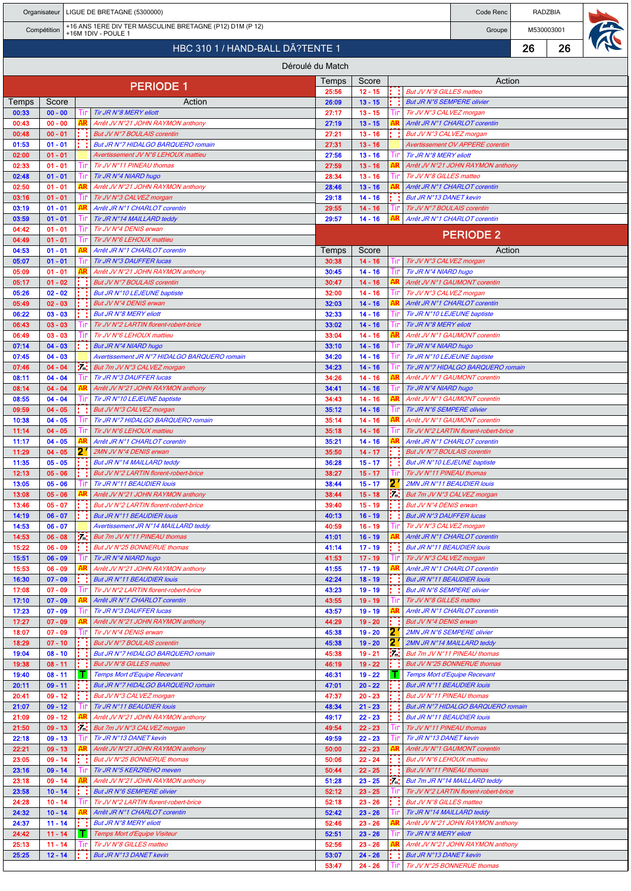|                                  |                        |  |            | Organisateur   LIGUE DE BRETAGNE (5300000)                                      |                  | Code Renc              | RADZBIA |                                                                          |        |                      |    |  |
|----------------------------------|------------------------|--|------------|---------------------------------------------------------------------------------|------------------|------------------------|---------|--------------------------------------------------------------------------|--------|----------------------|----|--|
|                                  | Compétition            |  |            | +16 ANS 1ERE DIV TER MASCULINE BRETAGNE (P12) D1M (P 12)<br>+16M 1DIV - POULE 1 |                  |                        |         |                                                                          |        | M530003001<br>Groupe |    |  |
| HBC 310 1 / HAND-BALL DÃ?TENTE 1 |                        |  |            |                                                                                 |                  |                        |         |                                                                          |        | 26                   | 26 |  |
|                                  |                        |  |            |                                                                                 | Déroulé du Match |                        |         |                                                                          |        |                      |    |  |
|                                  |                        |  |            |                                                                                 | Temps            | Score                  |         |                                                                          | Action |                      |    |  |
|                                  |                        |  |            | <b>PERIODE 1</b>                                                                | 25:56            | $12 - 15$              |         | But JV N°8 GILLES matteo                                                 |        |                      |    |  |
| Temps                            | Score                  |  |            | Action                                                                          | 26:09            | $13 - 15$              |         | <b>But JR N°6 SEMPERE olivier</b>                                        |        |                      |    |  |
| 00:33<br>00:43                   | $00 - 00$<br>$00 - 00$ |  | 1 In<br>AR | Tir JR N°8 MERY eliott<br>Arrêt JV N°21 JOHN RAYMON anthony                     | 27:17<br>27:19   | $13 - 15$<br>$13 - 15$ |         | Tir JV N°3 CALVEZ morgan<br>Arrêt JR N°1 CHARLOT corentin                |        |                      |    |  |
| 00:48                            | $00 - 01$              |  |            | But JV N°7 BOULAIS corentin                                                     | 27:21            | $13 - 16$              |         | But JV N°3 CALVEZ morgan                                                 |        |                      |    |  |
| 01:53                            | $01 - 01$              |  |            | But JR N°7 HIDALGO BARQUERO romain                                              | 27:31            | $13 - 16$              |         | <b>Avertissement OV APPERE corentin</b>                                  |        |                      |    |  |
| 02:00<br>02:33                   | $01 - 01$<br>$01 - 01$ |  | Ш          | Avertissement JV N°6 LEHOUX mattieu<br>Tir JV N°11 PINEAU thomas                | 27:56<br>27:59   | $13 - 16$<br>$13 - 16$ |         | Tir JR N°8 MERY eliott<br>Arrêt JV N°21 JOHN RAYMON anthony              |        |                      |    |  |
| 02:48                            | $01 - 01$              |  | Ш          | Tir JR N°4 NIARD hugo                                                           | 28:34            | $13 - 16$              | Ш       | Tir JV N°8 GILLES matteo                                                 |        |                      |    |  |
| 02:50                            | $01 - 01$              |  | AR         | Arrêt JV N°21 JOHN RAYMON anthony                                               | 28:46            | $13 - 16$              |         | Arrêt JR N°1 CHARLOT corentin                                            |        |                      |    |  |
| 03:16<br>03:19                   | $01 - 01$<br>$01 - 01$ |  |            | Tir JV N°3 CALVEZ morgan<br>Arrêt JR N°1 CHARLOT corentin                       | 29:18<br>29:55   | $14 - 16$<br>$14 - 16$ |         | But JR N°13 DANET kevin<br>Tir JV N°7 BOULAIS corentin                   |        |                      |    |  |
| 03:59                            | $01 - 01$              |  | ш          | Tir JR N°14 MAILLARD teddy                                                      | 29:57            | $14 - 16$              |         | Arrêt JR N°1 CHARLOT corentin                                            |        |                      |    |  |
| 04:42                            | $01 - 01$              |  | 1 In       | Tir JV N°4 DENIS erwan                                                          |                  |                        |         | <b>PERIODE 2</b>                                                         |        |                      |    |  |
| 04:49<br>04:53                   | $01 - 01$<br>$01 - 01$ |  | Tır<br>۹R  | Tir JV N°6 LEHOUX mattieu<br>Arrêt JR N°1 CHARLOT corentin                      |                  | Action                 |         |                                                                          |        |                      |    |  |
| 05:07                            | $01 - 01$              |  |            | Tir JR N°3 DAUFFER lucas                                                        | Temps<br>30:38   | Score<br>$14 - 16$     |         | Tir JV N°3 CALVEZ morgan                                                 |        |                      |    |  |
| 05:09                            | $01 - 01$              |  |            | Arrêt JV N°21 JOHN RAYMON anthony                                               | 30:45            | $14 - 16$              | Шr      | Tir JR N°4 NIARD hugo                                                    |        |                      |    |  |
| 05:17<br>05:26                   | $01 - 02$<br>$02 - 02$ |  |            | But JV N°7 BOULAIS corentin<br>But JR N°10 LEJEUNE baptiste                     | 30:47<br>32:00   | $14 - 16$<br>$14 - 16$ |         | Arrêt JV N°1 GAUMONT corentin<br>Tir JV N°3 CALVEZ morgan                |        |                      |    |  |
| 05:49                            | $02 - 03$              |  |            | But JV N°4 DENIS erwan                                                          | 32:03            | $14 - 16$              |         | Arrêt JR N°1 CHARLOT corentin                                            |        |                      |    |  |
| 06:22                            | $03 - 03$              |  |            | <b>But JR N°8 MERY eliott</b>                                                   | 32:33            | $14 - 16$              |         | Tir JR N°10 LEJEUNE baptiste                                             |        |                      |    |  |
| 06:43                            | $03 - 03$              |  |            | Tir JV N°2 LARTIN florent-robert-brice                                          | 33:02            | $14 - 16$              |         | Tir JR N°8 MERY eliott                                                   |        |                      |    |  |
| 06:49<br>07:14                   | $03 - 03$<br>$04 - 03$ |  | Ш          | Tir JV N°6 LEHOUX mattieu<br>But JR N°4 NIARD hugo                              | 33:04<br>33:10   | $14 - 16$<br>$14 - 16$ | Ш       | Arrêt JV N°1 GAUMONT corentin<br>Tir JR N°4 NIARD hugo                   |        |                      |    |  |
| 07:45                            | $04 - 03$              |  |            | Avertissement JR N°7 HIDALGO BARQUERO romain                                    | 34:20            | $14 - 16$              |         | Tir JR N°10 LEJEUNE baptiste                                             |        |                      |    |  |
| 07:46                            | $04 - 04$              |  | iΩ,        | But 7m JV N°3 CALVEZ morgan                                                     | 34:23            | $14 - 16$              |         | Tir JR N°7 HIDALGO BARQUERO romain                                       |        |                      |    |  |
| 08:11<br>08:14                   | $04 - 04$<br>$04 - 04$ |  | Ш          | Tir JR N°3 DAUFFER lucas<br>Arrêt JV N°21 JOHN RAYMON anthony                   | 34:26<br>34:41   | $14 - 16$<br>$14 - 16$ |         | Arrêt JV N°1 GAUMONT corentin<br>Tir JR N°4 NIARD hugo                   |        |                      |    |  |
| 08:55                            | $04 - 04$              |  | Tir        | Tir JR N°10 LEJEUNE baptiste                                                    | 34:43            | $14 - 16$              |         | Arrêt JV N°1 GAUMONT corentin                                            |        |                      |    |  |
| 09:59                            | $04 - 05$              |  |            | But JV N°3 CALVEZ morgan                                                        | 35:12            | $14 - 16$              |         | Tir JR N°6 SEMPERE olivier                                               |        |                      |    |  |
| 10:38<br>11:14                   | $04 - 05$<br>$04 - 05$ |  | Ш<br>Tir   | Tir JR N°7 HIDALGO BARQUERO romain<br>Tir JV N°6 LEHOUX mattieu                 | 35:14<br>35:18   | $14 - 16$<br>$14 - 16$ |         | Arrêt JV N°1 GAUMONT corentin<br>Tir JV N°2 LARTIN florent-robert-brice  |        |                      |    |  |
| 11:17                            | $04 - 05$              |  | AR         | Arrêt JR N°1 CHARLOT corentin                                                   | 35:21            | $14 - 16$              |         | Arrêt JR N°1 CHARLOT corentin                                            |        |                      |    |  |
| 11:29                            | $04 - 05$              |  | 2.         | 2MN JV N°4 DENIS erwan                                                          | 35:50            | $14 - 17$              |         | But JV N°7 BOULAIS corentin                                              |        |                      |    |  |
| 11:35<br>12:13                   | $05 - 05$<br>$05 - 06$ |  |            | But JR N°14 MAILLARD teddy<br>But JV N°2 LARTIN florent-robert-brice            | 36:28<br>38:27   | $15 - 17$<br>$15 - 17$ |         | But JR N°10 LEJEUNE baptiste<br>Tir JV N°11 PINEAU thomas                |        |                      |    |  |
| 13:05                            | $05 - 06$              |  |            | Tir JR N°11 BEAUDIER Iouis                                                      | 38:44            | $15 - 17$              |         | 2MN JR N°11 BEAUDIER Iouis                                               |        |                      |    |  |
| 13:08                            | $05 - 06$              |  | AR         | Arrêt JV N°21 JOHN RAYMON anthony                                               | 38:44            | $15 - 18$              | m       | But 7m JV N°3 CALVEZ morgan                                              |        |                      |    |  |
| 13:46<br>14:19                   | $05 - 07$<br>$06 - 07$ |  |            | But JV N°2 LARTIN florent-robert-brice<br><b>But JR N°11 BEAUDIER louis</b>     | 39:40<br>40:13   | $15 - 19$<br>$16 - 19$ |         | But JV N°4 DENIS erwan<br><b>But JR N°3 DAUFFER lucas</b>                |        |                      |    |  |
| 14:53                            | $06 - 07$              |  |            | Avertissement JR N°14 MAILLARD teddy                                            | 40:59            | $16 - 19$              |         | Tir JV N°3 CALVEZ morgan                                                 |        |                      |    |  |
| 14:53                            | $06 - 08$              |  | iz.        | But 7m JV N°11 PINEAU thomas                                                    | 41:01            | $16 - 19$              |         | Arrêt JR N°1 CHARLOT corentin                                            |        |                      |    |  |
| 15:22<br>15:51                   | $06 - 09$<br>$06 - 09$ |  |            | But JV N°25 BONNERUE thomas<br>Tir JR N°4 NIARD hugo                            | 41:14<br>41:53   | $17 - 19$<br>$17 - 19$ |         | <b>But JR N°11 BEAUDIER louis</b><br>Tir JV N°3 CALVEZ morgan            |        |                      |    |  |
| 15:53                            | $06 - 09$              |  | AR         | Arrêt JV N°21 JOHN RAYMON anthony                                               | 41:55            | $17 - 19$              |         | Arrêt JR N°1 CHARLOT corentin                                            |        |                      |    |  |
| 16:30                            | $07 - 09$              |  |            | <b>But JR N°11 BEAUDIER louis</b>                                               | 42:24            | $18 - 19$              |         | But JR N°11 BEAUDIER louis                                               |        |                      |    |  |
| 17:08<br>17:10                   | $07 - 09$<br>$07 - 09$ |  | AR         | Tir JV N°2 LARTIN florent-robert-brice<br>Arrêt JR N°1 CHARLOT corentin         | 43:23<br>43:55   | $19 - 19$<br>$19 - 19$ | Ш       | But JR N°6 SEMPERE olivier<br>Tir JV N°8 GILLES matteo                   |        |                      |    |  |
| 17:23                            | $07 - 09$              |  |            | Tir JR N°3 DAUFFER lucas                                                        | 43:57            | $19 - 19$              |         | Arrêt JR N°1 CHARLOT corentin                                            |        |                      |    |  |
| 17:27                            | $07 - 09$              |  |            | Arrêt JV N°21 JOHN RAYMON anthony                                               | 44:29            | 19 - 20                |         | But JV N°4 DENIS erwan                                                   |        |                      |    |  |
| 18:07<br>18:29                   | $07 - 09$<br>$07 - 10$ |  | 1ır        | Tir JV N°4 DENIS erwan                                                          | 45:38<br>45:38   | $19 - 20$              | 2<br>2  | 2MN JR N°6 SEMPERE olivier                                               |        |                      |    |  |
| 19:04                            | $08 - 10$              |  |            | But JV N°7 BOULAIS corentin<br>But JR N°7 HIDALGO BARQUERO romain               | 45:38            | $19 - 20$<br>19 - 21   | 57.     | 2MN JR N°14 MAILLARD teddy<br>But 7m JV N°11 PINEAU thomas               |        |                      |    |  |
| 19:38                            | $08 - 11$              |  |            | <b>But JV N°8 GILLES matteo</b>                                                 | 46:19            | $19 - 22$              |         | But JV N°25 BONNERUE thomas                                              |        |                      |    |  |
| 19:40                            | $08 - 11$              |  | T          | <b>Temps Mort d'Equipe Recevant</b><br>But JR N°7 HIDALGO BARQUERO romain       | 46:31            | $19 - 22$<br>$20 - 22$ |         | <b>Temps Mort d'Equipe Recevant</b><br><b>But JR N°11 BEAUDIER louis</b> |        |                      |    |  |
| 20:11<br>20:41                   | $09 - 11$<br>$09 - 12$ |  |            | But JV N°3 CALVEZ morgan                                                        | 47:01<br>47:37   | $20 - 23$              |         | But JV N°11 PINEAU thomas                                                |        |                      |    |  |
| 21:07                            | $09 - 12$              |  |            | Tir JR N°11 BEAUDIER Iouis                                                      | 48:34            | $21 - 23$              |         | But JR N°7 HIDALGO BARQUERO romain                                       |        |                      |    |  |
| 21:09                            | $09 - 12$              |  | AR         | Arrêt JV N°21 JOHN RAYMON anthony                                               | 49:17            | $22 - 23$              |         | <b>But JR N°11 BEAUDIER louis</b>                                        |        |                      |    |  |
| 21:50<br>22:18                   | $09 - 13$<br>$09 - 13$ |  | Уđ.        | But 7m JV N°3 CALVEZ morgan<br>Tir JR N°13 DANET kevin                          | 49:54<br>49:59   | $22 - 23$<br>$22 - 23$ | Пr      | Tir JV N°11 PINEAU thomas<br>Tir JR N°13 DANET kevin                     |        |                      |    |  |
| 22:21                            | $09 - 13$              |  | AR         | Arrêt JV N°21 JOHN RAYMON anthony                                               | 50:00            | $22 - 23$              |         | Arrêt JV N°1 GAUMONT corentin                                            |        |                      |    |  |
| 23:05                            | $09 - 14$              |  |            | But JV N°25 BONNERUE thomas                                                     | 50:06            | $22 - 24$              |         | But JV N°6 LEHOUX mattieu                                                |        |                      |    |  |
| 23:16<br>23:18                   | $09 - 14$<br>$09 - 14$ |  | AR         | Tir JR N°5 KERZREHO meven<br>Arrêt JV N°21 JOHN RAYMON anthony                  | 50:44<br>51:28   | $22 - 25$<br>$23 - 25$ | in i    | But JV N°11 PINEAU thomas<br>But 7m JR N°14 MAILLARD teddy               |        |                      |    |  |
| 23:58                            | $10 - 14$              |  |            | <b>But JR N°6 SEMPERE olivier</b>                                               | 52:12            | $23 - 25$              |         | Tir JV N°2 LARTIN florent-robert-brice                                   |        |                      |    |  |
| 24:28                            | $10 - 14$              |  |            | Tir JV N°2 LARTIN florent-robert-brice                                          | 52:18            | $23 - 26$              |         | But JV N°8 GILLES matteo                                                 |        |                      |    |  |
| 24:32<br>24:37                   | $10 - 14$<br>$11 - 14$ |  | AR         | Arrêt JR N°1 CHARLOT corentin<br>But JR N°8 MERY eliott                         | 52:42<br>52:46   | $23 - 26$<br>$23 - 26$ |         | Tir JR N°14 MAILLARD teddy<br>Arrêt JV N°21 JOHN RAYMON anthony          |        |                      |    |  |
| 24:42                            | $11 - 14$              |  |            | Temps Mort d'Equipe Visiteur                                                    | 52:51            | $23 - 26$              |         | Tir JR N°8 MERY eliott                                                   |        |                      |    |  |
| 25:13                            | $11 - 14$              |  |            | Tir JV N°8 GILLES matteo                                                        | 52:56            | $23 - 26$              |         | Arrêt JV N°21 JOHN RAYMON anthony                                        |        |                      |    |  |
| 25:25                            | $12 - 14$              |  |            | But JR N°13 DANET kevin                                                         | 53:07<br>53:47   | $24 - 26$<br>$24 - 26$ |         | But JR N°13 DANET kevin<br>Tir JV N°25 BONNERUE thomas                   |        |                      |    |  |